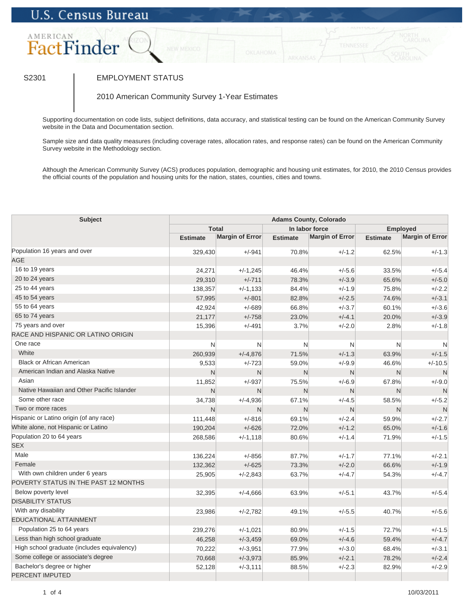## **U.S. Census Bureau**



## S2301 | EMPLOYMENT STATUS

2010 American Community Survey 1-Year Estimates

Supporting documentation on code lists, subject definitions, data accuracy, and statistical testing can be found on the American Community Survey website in the Data and Documentation section.

Sample size and data quality measures (including coverage rates, allocation rates, and response rates) can be found on the American Community Survey website in the Methodology section.

Although the American Community Survey (ACS) produces population, demographic and housing unit estimates, for 2010, the 2010 Census provides the official counts of the population and housing units for the nation, states, counties, cities and towns.

| Subject                                     | <b>Adams County, Colorado</b> |                        |                 |                        |                 |                        |  |
|---------------------------------------------|-------------------------------|------------------------|-----------------|------------------------|-----------------|------------------------|--|
|                                             | <b>Total</b>                  |                        | In labor force  |                        | <b>Employed</b> |                        |  |
|                                             | <b>Estimate</b>               | <b>Margin of Error</b> | <b>Estimate</b> | <b>Margin of Error</b> | <b>Estimate</b> | <b>Margin of Error</b> |  |
| Population 16 years and over                | 329,430                       | $+/-941$               | 70.8%           | $+/-1.2$               | 62.5%           | $+/-1.3$               |  |
| <b>AGE</b>                                  |                               |                        |                 |                        |                 |                        |  |
| 16 to 19 years                              | 24,271                        | $+/-1,245$             | 46.4%           | $+/-5.6$               | 33.5%           | $+/-5.4$               |  |
| 20 to 24 years                              | 29,310                        | $+/-711$               | 78.3%           | $+/-3.9$               | 65.6%           | $+/-5.0$               |  |
| 25 to 44 years                              | 138,357                       | $+/-1,133$             | 84.4%           | $+/-1.9$               | 75.8%           | $+/-2.2$               |  |
| 45 to 54 years                              | 57,995                        | $+/-801$               | 82.8%           | $+/-2.5$               | 74.6%           | $+/-3.1$               |  |
| 55 to 64 years                              | 42,924                        | $+/-689$               | 66.8%           | $+/-3.7$               | 60.1%           | $+/-3.6$               |  |
| 65 to 74 years                              | 21,177                        | $+/-758$               | 23.0%           | $+/-4.1$               | 20.0%           | $+/-3.9$               |  |
| 75 years and over                           | 15,396                        | $+/-491$               | 3.7%            | $+/-2.0$               | 2.8%            | $+/-1.8$               |  |
| RACE AND HISPANIC OR LATINO ORIGIN          |                               |                        |                 |                        |                 |                        |  |
| One race                                    | N                             | N                      | $\mathsf{N}$    | N                      | N               | N                      |  |
| White                                       | 260,939                       | $+/-4,876$             | 71.5%           | $+/-1.3$               | 63.9%           | $+/-1.5$               |  |
| <b>Black or African American</b>            | 9,533                         | $+/-723$               | 59.0%           | $+/-9.9$               | 46.6%           | $+/-10.5$              |  |
| American Indian and Alaska Native           | N                             | N                      | N               | N                      | N               | N                      |  |
| Asian                                       | 11,852                        | $+/-937$               | 75.5%           | $+/-6.9$               | 67.8%           | $+/-9.0$               |  |
| Native Hawaiian and Other Pacific Islander  | N                             | $\mathsf{N}$           | N               | N                      | N               | $\mathsf{N}$           |  |
| Some other race                             | 34,738                        | $+/-4,936$             | 67.1%           | $+/-4.5$               | 58.5%           | $+/-5.2$               |  |
| Two or more races                           | N                             | N                      | $\mathsf{N}$    | $\mathsf{N}$           | N               | N                      |  |
| Hispanic or Latino origin (of any race)     | 111,448                       | $+/-816$               | 69.1%           | $+/-2.4$               | 59.9%           | $+/-2.7$               |  |
| White alone, not Hispanic or Latino         | 190,204                       | $+/-626$               | 72.0%           | $+/-1.2$               | 65.0%           | $+/-1.6$               |  |
| Population 20 to 64 years                   | 268,586                       | $+/-1,118$             | 80.6%           | $+/-1.4$               | 71.9%           | $+/-1.5$               |  |
| <b>SEX</b>                                  |                               |                        |                 |                        |                 |                        |  |
| Male                                        | 136,224                       | $+/-856$               | 87.7%           | $+/-1.7$               | 77.1%           | $+/-2.1$               |  |
| Female                                      | 132,362                       | $+/-625$               | 73.3%           | $+/-2.0$               | 66.6%           | $+/-1.9$               |  |
| With own children under 6 years             | 25,905                        | $+/-2,843$             | 63.7%           | $+/-4.7$               | 54.3%           | $+/-4.7$               |  |
| POVERTY STATUS IN THE PAST 12 MONTHS        |                               |                        |                 |                        |                 |                        |  |
| Below poverty level                         | 32,395                        | $+/-4,666$             | 63.9%           | $+/-5.1$               | 43.7%           | $+/-5.4$               |  |
| <b>DISABILITY STATUS</b>                    |                               |                        |                 |                        |                 |                        |  |
| With any disability                         | 23,986                        | $+/-2,782$             | 49.1%           | $+/-5.5$               | 40.7%           | $+/-5.6$               |  |
| EDUCATIONAL ATTAINMENT                      |                               |                        |                 |                        |                 |                        |  |
| Population 25 to 64 years                   | 239,276                       | $+/-1,021$             | 80.9%           | $+/-1.5$               | 72.7%           | $+/-1.5$               |  |
| Less than high school graduate              | 46,258                        | $+/-3,459$             | 69.0%           | $+/-4.6$               | 59.4%           | $+/-4.7$               |  |
| High school graduate (includes equivalency) | 70,222                        | $+/-3,951$             | 77.9%           | $+/-3.0$               | 68.4%           | $+/-3.1$               |  |
| Some college or associate's degree          | 70,668                        | $+/-3,973$             | 85.9%           | $+/-2.1$               | 78.2%           | $+/-2.4$               |  |
| Bachelor's degree or higher                 | 52,128                        | $+/-3,111$             | 88.5%           | $+/-2.3$               | 82.9%           | $+/-2.9$               |  |
| <b>PERCENT IMPUTED</b>                      |                               |                        |                 |                        |                 |                        |  |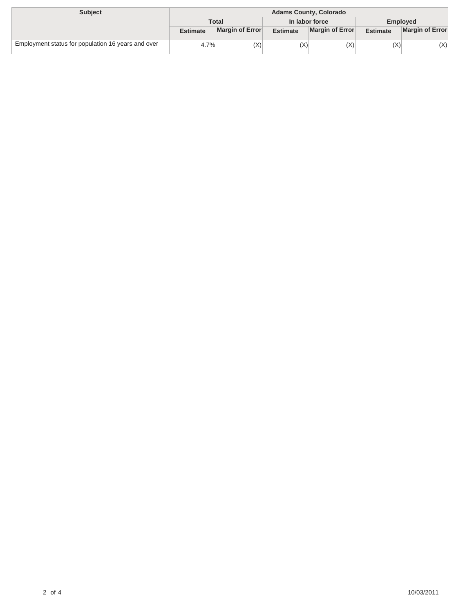| <b>Subject</b>                                     | <b>Adams County, Colorado</b> |                 |                 |                 |                 |                        |
|----------------------------------------------------|-------------------------------|-----------------|-----------------|-----------------|-----------------|------------------------|
|                                                    | <b>Total</b>                  |                 | In labor force  |                 | Employed        |                        |
|                                                    | <b>Estimate</b>               | Margin of Error | <b>Estimate</b> | Margin of Error | <b>Estimate</b> | <b>Margin of Error</b> |
| Employment status for population 16 years and over | 4.7%                          | (X)             | (X)             | (X)             | (X)             | (X)                    |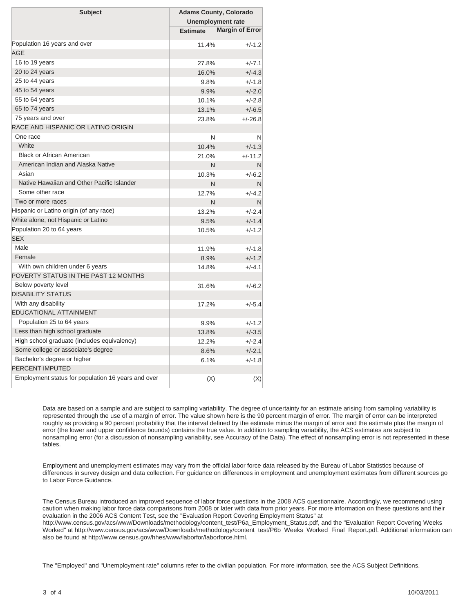| <b>Subject</b>                                     | <b>Adams County, Colorado</b> |                        |  |  |
|----------------------------------------------------|-------------------------------|------------------------|--|--|
|                                                    | Unemployment rate             |                        |  |  |
|                                                    | <b>Estimate</b>               | <b>Margin of Error</b> |  |  |
| Population 16 years and over                       | 11.4%                         | $+/-1.2$               |  |  |
| AGE                                                |                               |                        |  |  |
| 16 to 19 years                                     | 27.8%                         | $+/-7.1$               |  |  |
| 20 to 24 years                                     | 16.0%                         | $+/-4.3$               |  |  |
| 25 to 44 years                                     | 9.8%                          | $+/-1.8$               |  |  |
| 45 to 54 years                                     | 9.9%                          | $+/-2.0$               |  |  |
| 55 to 64 years                                     | 10.1%                         | $+/-2.8$               |  |  |
| 65 to 74 years                                     | 13.1%                         | $+/-6.5$               |  |  |
| 75 years and over                                  | 23.8%                         | $+/-26.8$              |  |  |
| RACE AND HISPANIC OR LATINO ORIGIN                 |                               |                        |  |  |
| One race                                           | N                             | N                      |  |  |
| White                                              | 10.4%                         | $+/-1.3$               |  |  |
| <b>Black or African American</b>                   | 21.0%                         | $+/-11.2$              |  |  |
| American Indian and Alaska Native                  | N                             | N                      |  |  |
| Asian                                              | 10.3%                         | $+/-6.2$               |  |  |
| Native Hawaiian and Other Pacific Islander         | N                             | N                      |  |  |
| Some other race                                    | 12.7%                         | $+/-4.2$               |  |  |
| Two or more races                                  | N                             | N                      |  |  |
| Hispanic or Latino origin (of any race)            | 13.2%                         | $+/-2.4$               |  |  |
| White alone, not Hispanic or Latino                | 9.5%                          | $+/-1.4$               |  |  |
| Population 20 to 64 years                          | 10.5%                         | $+/-1.2$               |  |  |
| <b>SEX</b>                                         |                               |                        |  |  |
| Male                                               | 11.9%                         | $+/-1.8$               |  |  |
| Female                                             | 8.9%                          | $+/-1.2$               |  |  |
| With own children under 6 years                    | 14.8%                         | $+/-4.1$               |  |  |
| POVERTY STATUS IN THE PAST 12 MONTHS               |                               |                        |  |  |
| Below poverty level                                | 31.6%                         | $+/-6.2$               |  |  |
| <b>DISABILITY STATUS</b>                           |                               |                        |  |  |
| With any disability                                | 17.2%                         | $+/-5.4$               |  |  |
| EDUCATIONAL ATTAINMENT                             |                               |                        |  |  |
| Population 25 to 64 years                          | 9.9%                          | $+/-1.2$               |  |  |
| Less than high school graduate                     | 13.8%                         | $+/-3.5$               |  |  |
| High school graduate (includes equivalency)        | 12.2%                         | $+/-2.4$               |  |  |
| Some college or associate's degree                 | 8.6%                          | $+/-2.1$               |  |  |
| Bachelor's degree or higher                        | 6.1%                          | $+/-1.8$               |  |  |
| PERCENT IMPUTED                                    |                               |                        |  |  |
| Employment status for population 16 years and over | (X)                           | (X)                    |  |  |

Data are based on a sample and are subject to sampling variability. The degree of uncertainty for an estimate arising from sampling variability is represented through the use of a margin of error. The value shown here is the 90 percent margin of error. The margin of error can be interpreted roughly as providing a 90 percent probability that the interval defined by the estimate minus the margin of error and the estimate plus the margin of error (the lower and upper confidence bounds) contains the true value. In addition to sampling variability, the ACS estimates are subject to nonsampling error (for a discussion of nonsampling variability, see Accuracy of the Data). The effect of nonsampling error is not represented in these tables.

Employment and unemployment estimates may vary from the official labor force data released by the Bureau of Labor Statistics because of differences in survey design and data collection. For guidance on differences in employment and unemployment estimates from different sources go to Labor Force Guidance.

The Census Bureau introduced an improved sequence of labor force questions in the 2008 ACS questionnaire. Accordingly, we recommend using caution when making labor force data comparisons from 2008 or later with data from prior years. For more information on these questions and their evaluation in the 2006 ACS Content Test, see the "Evaluation Report Covering Employment Status" at http://www.census.gov/acs/www/Downloads/methodology/content\_test/P6a\_Employment\_Status.pdf, and the "Evaluation Report Covering Weeks Worked" at http://www.census.gov/acs/www/Downloads/methodology/content\_test/P6b\_Weeks\_Worked\_Final\_Report.pdf. Additional information can also be found at http://www.census.gov/hhes/www/laborfor/laborforce.html.

The "Employed" and "Unemployment rate" columns refer to the civilian population. For more information, see the ACS Subject Definitions.